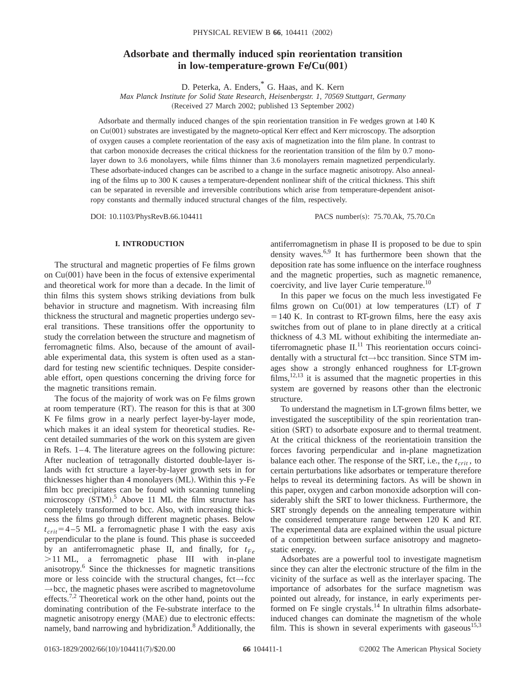# **Adsorbate and thermally induced spin reorientation transition in low-temperature-grown Fe/Cu(001)**

D. Peterka, A. Enders,\* G. Haas, and K. Kern

*Max Planck Institute for Solid State Research, Heisenbergstr. 1, 70569 Stuttgart, Germany* (Received 27 March 2002; published 13 September 2002)

Adsorbate and thermally induced changes of the spin reorientation transition in Fe wedges grown at 140 K on  $Cu(001)$  substrates are investigated by the magneto-optical Kerr effect and Kerr microscopy. The adsorption of oxygen causes a complete reorientation of the easy axis of magnetization into the film plane. In contrast to that carbon monoxide decreases the critical thickness for the reorientation transition of the film by 0.7 monolayer down to 3.6 monolayers, while films thinner than 3.6 monolayers remain magnetized perpendicularly. These adsorbate-induced changes can be ascribed to a change in the surface magnetic anisotropy. Also annealing of the films up to 300 K causes a temperature-dependent nonlinear shift of the critical thickness. This shift can be separated in reversible and irreversible contributions which arise from temperature-dependent anisotropy constants and thermally induced structural changes of the film, respectively.

DOI: 10.1103/PhysRevB.66.104411 PACS number(s): 75.70.Ak, 75.70.Cn

# **I. INTRODUCTION**

The structural and magnetic properties of Fe films grown on  $Cu(001)$  have been in the focus of extensive experimental and theoretical work for more than a decade. In the limit of thin films this system shows striking deviations from bulk behavior in structure and magnetism. With increasing film thickness the structural and magnetic properties undergo several transitions. These transitions offer the opportunity to study the correlation between the structure and magnetism of ferromagnetic films. Also, because of the amount of available experimental data, this system is often used as a standard for testing new scientific techniques. Despite considerable effort, open questions concerning the driving force for the magnetic transitions remain.

The focus of the majority of work was on Fe films grown at room temperature  $(RT)$ . The reason for this is that at 300 K Fe films grow in a nearly perfect layer-by-layer mode, which makes it an ideal system for theoretical studies. Recent detailed summaries of the work on this system are given in Refs. 1–4. The literature agrees on the following picture: After nucleation of tetragonally distorted double-layer islands with fct structure a layer-by-layer growth sets in for thicknesses higher than 4 monolayers (ML). Within this  $\gamma$ -Fe film bcc precipitates can be found with scanning tunneling microscopy  $(STM)$ .<sup>5</sup> Above 11 ML the film structure has completely transformed to bcc. Also, with increasing thickness the films go through different magnetic phases. Below  $t_{crit}$ =4-5 ML a ferromagnetic phase I with the easy axis perpendicular to the plane is found. This phase is succeeded by an antiferromagnetic phase II, and finally, for  $t_{Fe}$ .11 ML, a ferromagnetic phase III with in-plane anisotropy.6 Since the thicknesses for magnetic transitions more or less coincide with the structural changes, fct→fcc  $\rightarrow$  bcc, the magnetic phases were ascribed to magnetovolume effects.<sup>7,2</sup> Theoretical work on the other hand, points out the dominating contribution of the Fe-substrate interface to the magnetic anisotropy energy (MAE) due to electronic effects: namely, band narrowing and hybridization.<sup>8</sup> Additionally, the antiferromagnetism in phase II is proposed to be due to spin density waves. $6.9$  It has furthermore been shown that the deposition rate has some influence on the interface roughness and the magnetic properties, such as magnetic remanence, coercivity, and live layer Curie temperature.<sup>10</sup>

In this paper we focus on the much less investigated Fe films grown on  $Cu(001)$  at low temperatures  $(LT)$  of  $T$  $=140$  K. In contrast to RT-grown films, here the easy axis switches from out of plane to in plane directly at a critical thickness of 4.3 ML without exhibiting the intermediate antiferromagnetic phase  $II$ .<sup>11</sup> This reorientation occurs coincidentally with a structural fct→bcc transition. Since STM images show a strongly enhanced roughness for LT-grown  $films, <sup>12,13</sup>$  it is assumed that the magnetic properties in this system are governed by reasons other than the electronic structure.

To understand the magnetism in LT-grown films better, we investigated the susceptibility of the spin reorientation transition (SRT) to adsorbate exposure and to thermal treatment. At the critical thickness of the reorientatioin transition the forces favoring perpendicular and in-plane magnetization balance each other. The response of the SRT, i.e., the  $t_{crit}$ , to certain perturbations like adsorbates or temperature therefore helps to reveal its determining factors. As will be shown in this paper, oxygen and carbon monoxide adsorption will considerably shift the SRT to lower thickness. Furthermore, the SRT strongly depends on the annealing temperature within the considered temperature range between 120 K and RT. The experimental data are explained within the usual picture of a competition between surface anisotropy and magnetostatic energy.

Adsorbates are a powerful tool to investigate magnetism since they can alter the electronic structure of the film in the vicinity of the surface as well as the interlayer spacing. The importance of adsorbates for the surface magnetism was pointed out already, for instance, in early experiments performed on Fe single crystals. $14$  In ultrathin films adsorbateinduced changes can dominate the magnetism of the whole film. This is shown in several experiments with gaseous<sup>15,3</sup>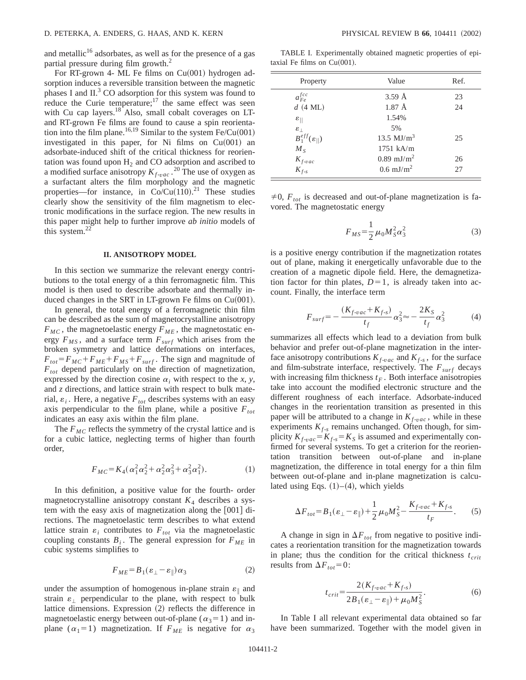and metallic<sup>16</sup> adsorbates, as well as for the presence of a gas partial pressure during film growth.<sup>2</sup>

For RT-grown 4- ML Fe films on  $Cu(001)$  hydrogen adsorption induces a reversible transition between the magnetic phases I and  $II<sup>3</sup>$  CO adsorption for this system was found to reduce the Curie temperature; $17$  the same effect was seen with Cu cap layers.<sup>18</sup> Also, small cobalt coverages on LTand RT-grown Fe films are found to cause a spin reorientation into the film plane.<sup>16,19</sup> Similar to the system  $Fe/Cu(001)$ investigated in this paper, for Ni films on  $Cu(001)$  and adsorbate-induced shift of the critical thickness for reorientation was found upon  $H_2$  and CO adsorption and ascribed to a modified surface anisotropy  $K_{f\text{-}vac}$ . <sup>20</sup> The use of oxygen as a surfactant alters the film morphology and the magnetic properties—for instance, in  $Co/Cu(110).$ <sup>21</sup> These studies clearly show the sensitivity of the film magnetism to electronic modifications in the surface region. The new results in this paper might help to further improve *ab initio* models of this system.<sup>22</sup>

### **II. ANISOTROPY MODEL**

In this section we summarize the relevant energy contributions to the total energy of a thin ferromagnetic film. This model is then used to describe adsorbate and thermally induced changes in the SRT in LT-grown Fe films on  $Cu(001)$ .

In general, the total energy of a ferromagnetic thin film can be described as the sum of magnetocrystalline anisotropy  $F_{MC}$ , the magnetoelastic energy  $F_{ME}$ , the magnetostatic energy  $F_{MS}$ , and a surface term  $F_{surf}$  which arises from the broken symmetry and lattice deformations on interfaces,  $F_{tot} = F_{MC} + F_{ME} + F_{MS} + F_{surf}$ . The sign and magnitude of *Ftot* depend particularly on the direction of magnetization, expressed by the direction cosine  $\alpha_i$  with respect to the *x*, *y*, and *z* directions, and lattice strain with respect to bulk material,  $\varepsilon_i$ . Here, a negative  $F_{tot}$  describes systems with an easy axis perpendicular to the film plane, while a positive  $F_{tot}$ indicates an easy axis within the film plane.

The  $F_{MC}$  reflects the symmetry of the crystal lattice and is for a cubic lattice, neglecting terms of higher than fourth order,

$$
F_{MC} = K_4(\alpha_1^2 \alpha_2^2 + \alpha_2^2 \alpha_3^2 + \alpha_3^2 \alpha_1^2). \tag{1}
$$

In this definition, a positive value for the fourth- order magnetocrystalline anisotropy constant  $K_4$  describes a system with the easy axis of magnetization along the  $[001]$  directions. The magnetoelastic term describes to what extend lattice strain  $\varepsilon_i$  contributes to  $F_{tot}$  via the magnetoelastic coupling constants  $B_i$ . The general expression for  $F_{ME}$  in cubic systems simplifies to

$$
F_{ME} = B_1(\varepsilon_{\perp} - \varepsilon_{\parallel}) \alpha_3 \tag{2}
$$

under the assumption of homogenous in-plane strain  $\varepsilon_{\parallel}$  and strain  $\varepsilon_{\perp}$  perpendicular to the plane, with respect to bulk lattice dimensions. Expression  $(2)$  reflects the difference in magnetoelastic energy between out-of-plane ( $\alpha_3=1$ ) and inplane ( $\alpha_1$ =1) magnetization. If  $F_{ME}$  is negative for  $\alpha_3$ 

TABLE I. Experimentally obtained magnetic properties of epitaxial Fe films on  $Cu(001)$ .

| Property                      | Value                    | Ref. |
|-------------------------------|--------------------------|------|
| $a_{Fe}^{fcc}$                | $3.59 \text{ Å}$         | 23   |
| $d$ (4 ML)                    | $1.87 \text{ Å}$         | 24   |
| $\varepsilon_{\parallel}$     | 1.54%                    |      |
| $\varepsilon_{\perp}$         | 5%                       |      |
| $B_1^{eff}(\varepsilon_{  })$ | 13.5 $MJ/m3$             | 25   |
| $M_{S}$                       | $1751$ kA/m              |      |
| $K_{f\text{-}vac}$            | $0.89$ mJ/m <sup>2</sup> | 26   |
| $K_{f-s}$                     | $0.6$ mJ/m <sup>2</sup>  | 27   |

 $\neq$ 0,  $F_{tot}$  is decreased and out-of-plane magnetization is favored. The magnetostatic energy

$$
F_{MS} = \frac{1}{2} \mu_0 M_S^2 \alpha_3^2 \tag{3}
$$

is a positive energy contribution if the magnetization rotates out of plane, making it energetically unfavorable due to the creation of a magnetic dipole field. Here, the demagnetization factor for thin plates,  $D=1$ , is already taken into account. Finally, the interface term

$$
F_{surf} = -\frac{(K_{f\text{-}vac} + K_{f\text{-}s})}{t_f} \alpha_3^2 \approx -\frac{2K_S}{t_f} \alpha_3^2 \tag{4}
$$

summarizes all effects which lead to a deviation from bulk behavior and prefer out-of-plane magnetization in the interface anisotropy contributions  $K_{f\text{-}vac}$  and  $K_{f\text{-}s}$ , for the surface and film-substrate interface, respectively. The  $F_{surf}$  decays with increasing film thickness  $t_F$ . Both interface anisotropies take into account the modified electronic structure and the different roughness of each interface. Adsorbate-induced changes in the reorientation transition as presented in this paper will be attributed to a change in  $K_{f \text{-}vac}$ , while in these experiments  $K_{f-s}$  remains unchanged. Often though, for simplicity  $K_{f\text{-}vac} = K_{f\text{-}s} = K_S$  is assumed and experimentally confirmed for several systems. To get a criterion for the reorientation transition between out-of-plane and in-plane magnetization, the difference in total energy for a thin film between out-of-plane and in-plane magnetization is calculated using Eqs.  $(1)–(4)$ , which yields

$$
\Delta F_{tot} = B_1(\varepsilon_\perp - \varepsilon_\parallel) + \frac{1}{2}\mu_0 M_S^2 - \frac{K_{f\text{-}vac} + K_{f\text{-}s}}{t_F}.
$$
 (5)

A change in sign in  $\Delta F_{tot}$  from negative to positive indicates a reorientation transition for the magnetization towards in plane; thus the condition for the critical thickness  $t_{crit}$ results from  $\Delta F_{tot}$ =0:

$$
t_{crit} = \frac{2(K_{f\text{-}vac} + K_{f\text{-}s})}{2B_1(\varepsilon_\perp - \varepsilon_\parallel) + \mu_0 M_S^2}.\tag{6}
$$

In Table I all relevant experimental data obtained so far have been summarized. Together with the model given in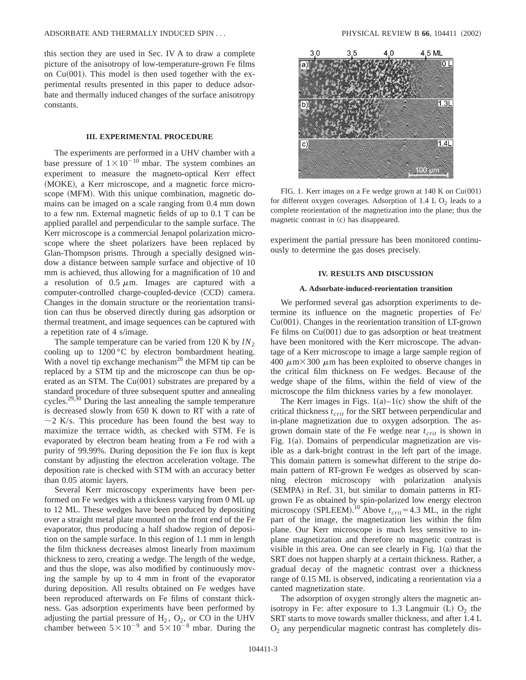this section they are used in Sec. IV A to draw a complete picture of the anisotropy of low-temperature-grown Fe films on  $Cu(001)$ . This model is then used together with the experimental results presented in this paper to deduce adsorbate and thermally induced changes of the surface anisotropy constants.

# **III. EXPERIMENTAL PROCEDURE**

The experiments are performed in a UHV chamber with a base pressure of  $1\times10^{-10}$  mbar. The system combines an experiment to measure the magneto-optical Kerr effect (MOKE), a Kerr microscope, and a magnetic force microscope (MFM). With this unique combination, magnetic domains can be imaged on a scale ranging from 0.4 mm down to a few nm. External magnetic fields of up to 0.1 T can be applied parallel and perpendicular to the sample surface. The Kerr microscope is a commercial Jenapol polarization microscope where the sheet polarizers have been replaced by Glan-Thompson prisms. Through a specially designed window a distance between sample surface and objective of 10 mm is achieved, thus allowing for a magnification of 10 and a resolution of  $0.5 \mu m$ . Images are captured with a computer-controlled charge-coupled-device (CCD) camera. Changes in the domain structure or the reorientation transition can thus be observed directly during gas adsorption or thermal treatment, and image sequences can be captured with a repetition rate of 4 s/image.

The sample temperature can be varied from 120 K by  $lN_2$ cooling up to 1200 °C by electron bombardment heating. With a novel tip exchange mechanism<sup>28</sup> the MFM tip can be replaced by a STM tip and the microscope can thus be operated as an STM. The  $Cu(001)$  substrates are prepared by a standard procedure of three subsequent sputter and annealing cycles.<sup>29,30</sup> During the last annealing the sample temperature is decreased slowly from 650 K down to RT with a rate of  $\sim$  2 K/s. This procedure has been found the best way to maximize the terrace width, as checked with STM. Fe is evaporated by electron beam heating from a Fe rod with a purity of 99.99%. During deposition the Fe ion flux is kept constant by adjusting the electron acceleration voltage. The deposition rate is checked with STM with an accuracy better than 0.05 atomic layers.

Several Kerr microscopy experiments have been performed on Fe wedges with a thickness varying from 0 ML up to 12 ML. These wedges have been produced by depositing over a straight metal plate mounted on the front end of the Fe evaporator, thus producing a half shadow region of deposition on the sample surface. In this region of 1.1 mm in length the film thickness decreases almost linearly from maximum thickness to zero, creating a wedge. The length of the wedge, and thus the slope, was also modified by continuously moving the sample by up to 4 mm in front of the evaporator during deposition. All results obtained on Fe wedges have been reproduced afterwards on Fe films of constant thickness. Gas adsorption experiments have been performed by adjusting the partial pressure of  $H_2$ ,  $O_2$ , or CO in the UHV chamber between  $5 \times 10^{-9}$  and  $5 \times 10^{-8}$  mbar. During the



FIG. 1. Kerr images on a Fe wedge grown at  $140$  K on Cu(001) for different oxygen coverages. Adsorption of  $1.4 \text{ L O}_2$  leads to a complete reorientation of the magnetization into the plane; thus the magnetic contrast in (c) has disappeared.

experiment the partial pressure has been monitored continuously to determine the gas doses precisely.

## **IV. RESULTS AND DISCUSSION**

## **A. Adsorbate-induced-reorientation transition**

We performed several gas adsorption experiments to determine its influence on the magnetic properties of Fe/  $Cu(001)$ . Changes in the reorientation transition of LT-grown Fe films on  $Cu(001)$  due to gas adsorption or heat treatment have been monitored with the Kerr microscope. The advantage of a Kerr microscope to image a large sample region of 400  $\mu$ m×300  $\mu$ m has been exploited to observe changes in the critical film thickness on Fe wedges. Because of the wedge shape of the films, within the field of view of the microscope the film thickness varies by a few monolayer.

The Kerr images in Figs.  $1(a) - 1(c)$  show the shift of the critical thickness *t crit* for the SRT between perpendicular and in-plane magnetization due to oxygen adsorption. The asgrown domain state of the Fe wedge near  $t_{crit}$  is shown in Fig.  $1(a)$ . Domains of perpendicular magnetization are visible as a dark-bright contrast in the left part of the image. This domain pattern is somewhat different to the stripe domain pattern of RT-grown Fe wedges as observed by scanning electron microscopy with polarization analysis (SEMPA) in Ref. 31, but similar to domain patterns in RTgrown Fe as obtained by spin-polarized low energy electron microscopy (SPLEEM).<sup>10</sup> Above  $t_{crit}$  = 4.3 ML, in the right part of the image, the magnetization lies within the film plane. Our Kerr microscope is much less sensitive to inplane magnetization and therefore no magnetic contrast is visible in this area. One can see clearly in Fig.  $1(a)$  that the SRT does not happen sharply at a certain thickness. Rather, a gradual decay of the magnetic contrast over a thickness range of 0.15 ML is observed, indicating a reorientation via a canted magnetization state.

The adsorption of oxygen strongly alters the magnetic anisotropy in Fe: after exposure to 1.3 Langmuir  $(L) O_2$  the SRT starts to move towards smaller thickness, and after 1.4 L  $O<sub>2</sub>$  any perpendicular magnetic contrast has completely dis-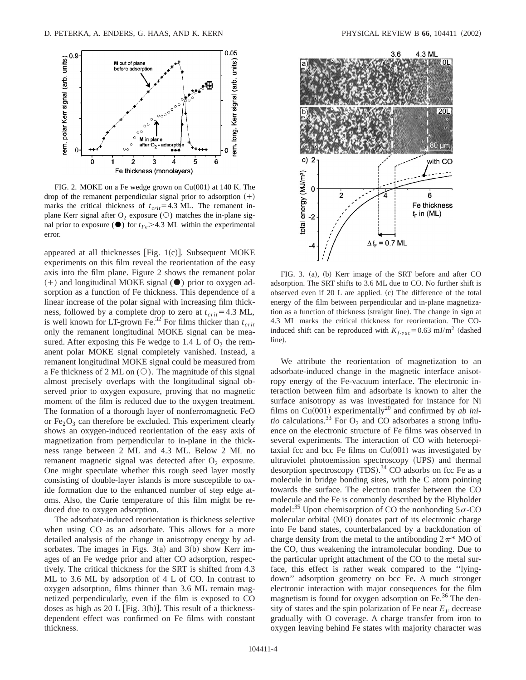

FIG. 2. MOKE on a Fe wedge grown on  $Cu(001)$  at 140 K. The drop of the remanent perpendicular signal prior to adsorption  $(+)$ marks the critical thickness of  $t_{crit}$ =4.3 ML. The remanent inplane Kerr signal after  $O_2$  exposure ( $\circlearrowright$ ) matches the in-plane signal prior to exposure  $\left( \bullet \right)$  for  $t_{Fe}$  > 4.3 ML within the experimental error.

appeared at all thicknesses [Fig.  $1(c)$ ]. Subsequent MOKE experiments on this film reveal the reorientation of the easy axis into the film plane. Figure 2 shows the remanent polar  $(+)$  and longitudinal MOKE signal ( $\bullet$ ) prior to oxygen adsorption as a function of Fe thickness. This dependence of a linear increase of the polar signal with increasing film thickness, followed by a complete drop to zero at  $t_{crit}$ =4.3 ML, is well known for LT-grown Fe.<sup>32</sup> For films thicker than  $t_{crit}$ only the remanent longitudinal MOKE signal can be measured. After exposing this Fe wedge to  $1.4$  L of  $O<sub>2</sub>$  the remanent polar MOKE signal completely vanished. Instead, a remanent longitudinal MOKE signal could be measured from a Fe thickness of 2 ML on  $(\bigcirc)$ . The magnitude of this signal almost precisely overlaps with the longitudinal signal observed prior to oxygen exposure, proving that no magnetic moment of the film is reduced due to the oxygen treatment. The formation of a thorough layer of nonferromagnetic FeO or  $Fe<sub>2</sub>O<sub>3</sub>$  can therefore be excluded. This experiment clearly shows an oxygen-induced reorientation of the easy axis of magnetization from perpendicular to in-plane in the thickness range between 2 ML and 4.3 ML. Below 2 ML no remanent magnetic signal was detected after  $O_2$  exposure. One might speculate whether this rough seed layer mostly consisting of double-layer islands is more susceptible to oxide formation due to the enhanced number of step edge atoms. Also, the Curie temperature of this film might be reduced due to oxygen adsorption.

The adsorbate-induced reorientation is thickness selective when using CO as an adsorbate. This allows for a more detailed analysis of the change in anisotropy energy by adsorbates. The images in Figs.  $3(a)$  and  $3(b)$  show Kerr images of an Fe wedge prior and after CO adsorption, respectively. The critical thickness for the SRT is shifted from 4.3 ML to 3.6 ML by adsorption of 4 L of CO. In contrast to oxygen adsorption, films thinner than 3.6 ML remain magnetized perpendicularly, even if the film is exposed to CO doses as high as 20 L [Fig. 3(b)]. This result of a thicknessdependent effect was confirmed on Fe films with constant thickness.



FIG. 3. (a), (b) Kerr image of the SRT before and after CO adsorption. The SRT shifts to 3.6 ML due to CO. No further shift is observed even if  $20$  L are applied.  $(c)$  The difference of the total energy of the film between perpendicular and in-plane magnetization as a function of thickness (straight line). The change in sign at 4.3 ML marks the critical thickness for reorientation. The COinduced shift can be reproduced with  $K_{f-vac}$ =0.63 mJ/m<sup>2</sup> (dashed line).

We attribute the reorientation of magnetization to an adsorbate-induced change in the magnetic interface anisotropy energy of the Fe-vacuum interface. The electronic interaction between film and adsorbate is known to alter the surface anisotropy as was investigated for instance for Ni films on Cu(001) experimentally<sup>20</sup> and confirmed by *ab initio* calculations.<sup>33</sup> For  $O_2$  and CO adsorbates a strong influence on the electronic structure of Fe films was observed in several experiments. The interaction of CO with heteroepitaxial fcc and bcc Fe films on  $Cu(001)$  was investigated by ultraviolet photoemission spectroscopy (UPS) and thermal desorption spectroscopy  $(TDS)$ .<sup>34</sup> CO adsorbs on fcc Fe as a molecule in bridge bonding sites, with the C atom pointing towards the surface. The electron transfer between the CO molecule and the Fe is commonly described by the Blyholder model:<sup>35</sup> Upon chemisorption of CO the nonbonding  $5\sigma$ -CO molecular orbital (MO) donates part of its electronic charge into Fe band states, counterbalanced by a backdonation of charge density from the metal to the antibonding  $2\pi^*$  MO of the CO, thus weakening the intramolecular bonding. Due to the particular upright attachment of the CO to the metal surface, this effect is rather weak compared to the ''lyingdown'' adsorption geometry on bcc Fe. A much stronger electronic interaction with major consequences for the film magnetism is found for oxygen adsorption on Fe.<sup>36</sup> The density of states and the spin polarization of Fe near  $E_F$  decrease gradually with O coverage. A charge transfer from iron to oxygen leaving behind Fe states with majority character was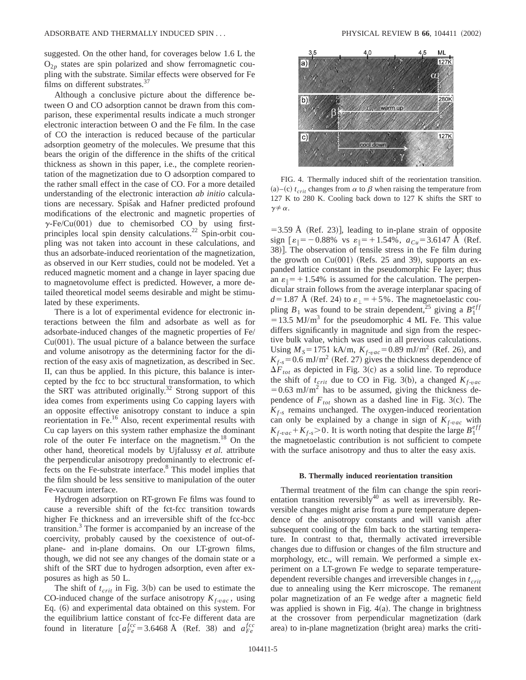suggested. On the other hand, for coverages below 1.6 L the  $O_{2p}$  states are spin polarized and show ferromagnetic coupling with the substrate. Similar effects were observed for Fe films on different substrates.<sup>37</sup>

Although a conclusive picture about the difference between O and CO adsorption cannot be drawn from this comparison, these experimental results indicate a much stronger electronic interaction between O and the Fe film. In the case of CO the interaction is reduced because of the particular adsorption geometry of the molecules. We presume that this bears the origin of the difference in the shifts of the critical thickness as shown in this paper, i.e., the complete reorientation of the magnetization due to O adsorption compared to the rather small effect in the case of CO. For a more detailed understanding of the electronic interaction *ab initio* calculations are necessary. Spisak and Hafner predicted profound modifications of the electronic and magnetic properties of  $\gamma$ -Fe/Cu(001) due to chemisorbed CO by using firstprinciples local spin density calculations.<sup>22</sup> Spin-orbit coupling was not taken into account in these calculations, and thus an adsorbate-induced reorientation of the magnetization, as observed in our Kerr studies, could not be modeled. Yet a reduced magnetic moment and a change in layer spacing due to magnetovolume effect is predicted. However, a more detailed theoretical model seems desirable and might be stimulated by these experiments.

There is a lot of experimental evidence for electronic interactions between the film and adsorbate as well as for adsorbate-induced changes of the magnetic properties of Fe/  $Cu(001)$ . The usual picture of a balance between the surface and volume anisotropy as the determining factor for the direction of the easy axis of magnetization, as described in Sec. II, can thus be applied. In this picture, this balance is intercepted by the fcc to bcc structural transformation, to which the SRT was attributed originally.<sup>32</sup> Strong support of this idea comes from experiments using Co capping layers with an opposite effective anisotropy constant to induce a spin reorientation in Fe.16 Also, recent experimental results with Cu cap layers on this system rather emphasize the dominant role of the outer Fe interface on the magnetism.<sup>18</sup> On the other hand, theoretical models by Ujfalussy *et al.* attribute the perpendicular anisotropy predominantly to electronic effects on the Fe-substrate interface.8 This model implies that the film should be less sensitive to manipulation of the outer Fe-vacuum interface.

Hydrogen adsorption on RT-grown Fe films was found to cause a reversible shift of the fct-fcc transition towards higher Fe thickness and an irreversible shift of the fcc-bcc transition. $3$  The former is accompanied by an increase of the coercivity, probably caused by the coexistence of out-ofplane- and in-plane domains. On our LT-grown films, though, we did not see any changes of the domain state or a shift of the SRT due to hydrogen adsorption, even after exposures as high as 50 L.

The shift of  $t_{crit}$  in Fig. 3(b) can be used to estimate the CO-induced change of the surface anisotropy  $K_{f\text{-}vac}$ , using Eq. (6) and experimental data obtained on this system. For the equilibrium lattice constant of fcc-Fe different data are found in literature  $\left[a_{Fe}^{fcc} = 3.6468 \text{ Å} \right]$  (Ref. 38) and  $a_{Fe}^{fcc}$ 



FIG. 4. Thermally induced shift of the reorientation transition. (a)–(c)  $t_{crit}$  changes from  $\alpha$  to  $\beta$  when raising the temperature from 127 K to 280 K. Cooling back down to 127 K shifts the SRT to  $\gamma \neq \alpha$ .

 $=$  3.59 Å (Ref. 23)], leading to in-plane strain of opposite sign  $\lbrack \varepsilon_{\parallel}=-0.88\% \text{ vs } \varepsilon_{\parallel}=+1.54\%, a_{Cu}=3.6147 \text{ Å}$  (Ref. 38)]. The observation of tensile stress in the Fe film during the growth on  $Cu(001)$  (Refs. 25 and 39), supports an expanded lattice constant in the pseudomorphic Fe layer; thus an  $\varepsilon_{\parallel}$  = +1.54% is assumed for the calculation. The perpendicular strain follows from the average interplanar spacing of  $d=1.87$  Å (Ref. 24) to  $\varepsilon_{\perp}$  = +5%. The magnetoelastic coupling  $B_1$  was found to be strain dependent,<sup>25</sup> giving a  $B_1^{eff}$  $=13.5$  MJ/m<sup>3</sup> for the pseudomorphic 4 ML Fe. This value differs significantly in magnitude and sign from the respective bulk value, which was used in all previous calculations. Using  $M_s = 1751$  kA/m,  $K_{f \text{-}vac} = 0.89$  mJ/m<sup>2</sup> (Ref. 26), and  $K_{f,s}$ =0.6 mJ/m<sup>2</sup> (Ref. 27) gives the thickness dependence of  $\Delta F_{tot}$  as depicted in Fig. 3(c) as a solid line. To reproduce the shift of  $t_{crit}$  due to CO in Fig. 3(b), a changed  $K_{f\text{-}vac}$  $=0.63$  mJ/m<sup>2</sup> has to be assumed, giving the thickness dependence of  $F_{tot}$  shown as a dashed line in Fig. 3(c). The  $K_{f-s}$  remains unchanged. The oxygen-induced reorientation can only be explained by a change in sign of  $K_{f \text{-}vac}$  with  $K_{f\text{-}vac} + K_{f\text{-}s} > 0$ . It is worth noting that despite the large  $B_1^{eff}$ the magnetoelastic contribution is not sufficient to compete with the surface anisotropy and thus to alter the easy axis.

#### **B. Thermally induced reorientation transition**

Thermal treatment of the film can change the spin reorientation transition reversibly $40$  as well as irreversibly. Reversible changes might arise from a pure temperature dependence of the anisotropy constants and will vanish after subsequent cooling of the film back to the starting temperature. In contrast to that, thermally activated irreversible changes due to diffusion or changes of the film structure and morphology, etc., will remain. We performed a simple experiment on a LT-grown Fe wedge to separate temperaturedependent reversible changes and irreversible changes in *t crit* due to annealing using the Kerr microscope. The remanent polar magnetization of an Fe wedge after a magnetic field was applied is shown in Fig.  $4(a)$ . The change in brightness at the crossover from perpendicular magnetization (dark area) to in-plane magnetization (bright area) marks the criti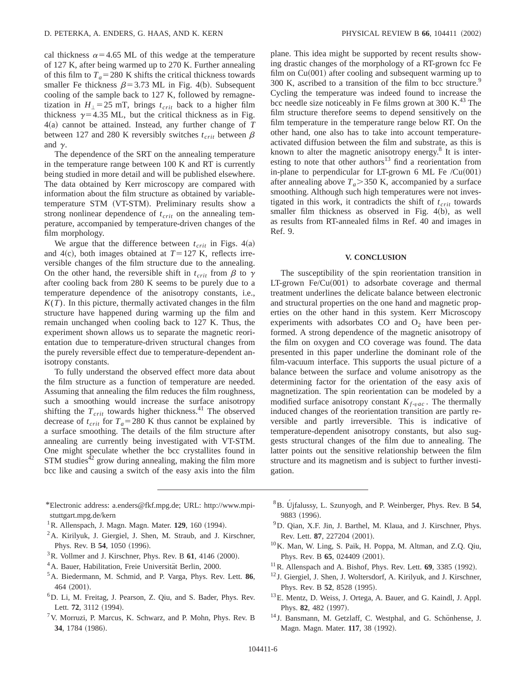cal thickness  $\alpha$ =4.65 ML of this wedge at the temperature of 127 K, after being warmed up to 270 K. Further annealing of this film to  $T_a = 280$  K shifts the critical thickness towards smaller Fe thickness  $\beta$ =3.73 ML in Fig. 4(b). Subsequent cooling of the sample back to 127 K, followed by remagnetization in  $H_{\perp}$ =25 mT, brings  $t_{crit}$  back to a higher film thickness  $\gamma$ =4.35 ML, but the critical thickness as in Fig. 4(a) cannot be attained. Instead, any further change of *T* between 127 and 280 K reversibly switches  $t_{crit}$  between  $\beta$ and  $\gamma$ .

The dependence of the SRT on the annealing temperature in the temperature range between 100 K and RT is currently being studied in more detail and will be published elsewhere. The data obtained by Kerr microscopy are compared with information about the film structure as obtained by variabletemperature STM (VT-STM). Preliminary results show a strong nonlinear dependence of  $t_{crit}$  on the annealing temperature, accompanied by temperature-driven changes of the film morphology.

We argue that the difference between  $t_{crit}$  in Figs. 4(a) and 4(c), both images obtained at  $T=127$  K, reflects irreversible changes of the film structure due to the annealing. On the other hand, the reversible shift in  $t_{crit}$  from  $\beta$  to  $\gamma$ after cooling back from 280 K seems to be purely due to a temperature dependence of the anisotropy constants, i.e.,  $K(T)$ . In this picture, thermally activated changes in the film structure have happened during warming up the film and remain unchanged when cooling back to 127 K. Thus, the experiment shown allows us to separate the magnetic reorientation due to temperature-driven structural changes from the purely reversible effect due to temperature-dependent anisotropy constants.

To fully understand the observed effect more data about the film structure as a function of temperature are needed. Assuming that annealing the film reduces the film roughness, such a smoothing would increase the surface anisotropy shifting the  $T_{crit}$  towards higher thickness.<sup>41</sup> The observed decrease of  $t_{crit}$  for  $T_a = 280$  K thus cannot be explained by a surface smoothing. The details of the film structure after annealing are currently being investigated with VT-STM. One might speculate whether the bcc crystallites found in  $STM$  studies<sup>42</sup> grow during annealing, making the film more bcc like and causing a switch of the easy axis into the film

- \*Electronic address: a.enders@fkf.mpg.de; URL: http://www.mpistuttgart.mpg.de/kern
- <sup>1</sup> R. Allenspach, J. Magn. Magn. Mater. **129**, 160 (1994).
- <sup>2</sup>A. Kirilyuk, J. Giergiel, J. Shen, M. Straub, and J. Kirschner, Phys. Rev. B 54, 1050 (1996).
- $3R$ . Vollmer and J. Kirschner, Phys. Rev. B  $61$ , 4146 (2000).
- <sup>4</sup> A. Bauer, Habilitation, Freie Universität Berlin, 2000.
- 5A. Biedermann, M. Schmid, and P. Varga, Phys. Rev. Lett. **86**, 464 (2001).
- 6D. Li, M. Freitag, J. Pearson, Z. Qiu, and S. Bader, Phys. Rev. Lett. 72, 3112 (1994).
- $7$ V. Morruzi, P. Marcus, K. Schwarz, and P. Mohn, Phys. Rev. B 34, 1784 (1986).

plane. This idea might be supported by recent results showing drastic changes of the morphology of a RT-grown fcc Fe film on  $Cu(001)$  after cooling and subsequent warming up to 300 K, ascribed to a transition of the film to bcc structure.<sup>9</sup> Cycling the temperature was indeed found to increase the bcc needle size noticeably in Fe films grown at 300 K. $^{43}$  The film structure therefore seems to depend sensitively on the film temperature in the temperature range below RT. On the other hand, one also has to take into account temperatureactivated diffusion between the film and substrate, as this is known to alter the magnetic anisotropy energy. $8$  It is interesting to note that other authors<sup>13</sup> find a reorientation from in-plane to perpendicular for LT-grown 6 ML Fe  $\text{/Cu}(001)$ after annealing above  $T_a$ >350 K, accompanied by a surface smoothing. Although such high temperatures were not investigated in this work, it contradicts the shift of  $t_{crit}$  towards smaller film thickness as observed in Fig.  $4(b)$ , as well as results from RT-annealed films in Ref. 40 and images in Ref. 9.

#### **V. CONCLUSION**

The susceptibility of the spin reorientation transition in LT-grown  $Fe/Cu(001)$  to adsorbate coverage and thermal treatment underlines the delicate balance between electronic and structural properties on the one hand and magnetic properties on the other hand in this system. Kerr Microscopy experiments with adsorbates CO and  $O<sub>2</sub>$  have been performed. A strong dependence of the magnetic anisotropy of the film on oxygen and CO coverage was found. The data presented in this paper underline the dominant role of the film-vacuum interface. This supports the usual picture of a balance between the surface and volume anisotropy as the determining factor for the orientation of the easy axis of magnetization. The spin reorientation can be modeled by a modified surface anisotropy constant  $K_{f\text{-}vac}$ . The thermally induced changes of the reorientation transition are partly reversible and partly irreversible. This is indicative of temperature-dependent anisotropy constants, but also suggests structural changes of the film due to annealing. The latter points out the sensitive relationship between the film structure and its magnetism and is subject to further investigation.

- <sup>8</sup>B. Ujfalussy, L. Szunyogh, and P. Weinberger, Phys. Rev. B 54, 9883 (1996).
- 9D. Qian, X.F. Jin, J. Barthel, M. Klaua, and J. Kirschner, Phys. Rev. Lett. **87**, 227204 (2001).
- 10K. Man, W. Ling, S. Paik, H. Poppa, M. Altman, and Z.Q. Qiu, Phys. Rev. B 65, 024409 (2001).
- $11$  R. Allenspach and A. Bishof, Phys. Rev. Lett.  $69$ , 3385 (1992).
- <sup>12</sup> J. Giergiel, J. Shen, J. Woltersdorf, A. Kirilyuk, and J. Kirschner, Phys. Rev. B 52, 8528 (1995).
- 13E. Mentz, D. Weiss, J. Ortega, A. Bauer, and G. Kaindl, J. Appl. Phys. 82, 482 (1997).
- <sup>14</sup> J. Bansmann, M. Getzlaff, C. Westphal, and G. Schönhense, J. Magn. Magn. Mater. 117, 38 (1992).